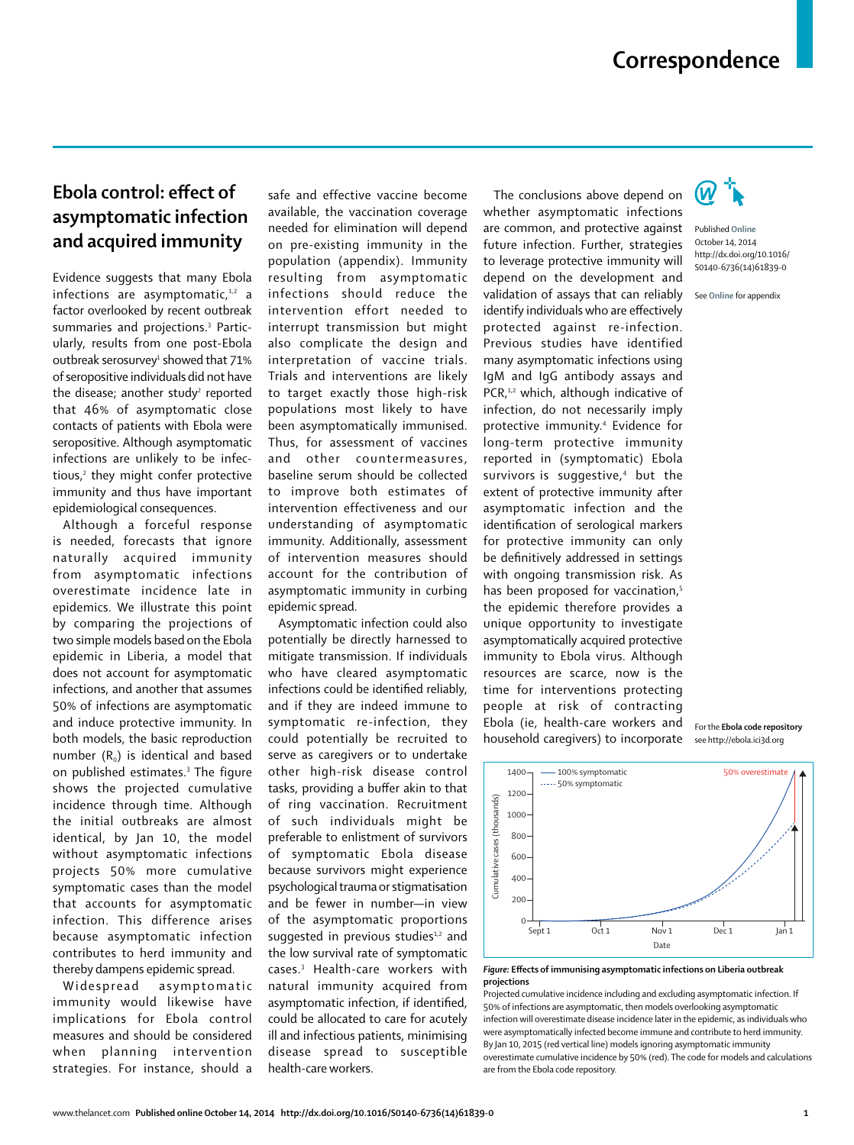## **Correspondence**

## **Ebola control: effect of asymptomatic infection and acquired immunity**

Evidence suggests that many Ebola infections are asymptomatic. $1,2$  a factor overlooked by recent outbreak summaries and projections.3 Particularly, results from one post-Ebola outbreak serosurvey<del>'</del> showed that 71% of seropositive individuals did not have the disease; another study $^{\scriptscriptstyle 2}$  reported that 46% of asymptomatic close contacts of patients with Ebola were seropositive. Although asymptomatic infections are unlikely to be infectious,2 they might confer protective immunity and thus have important epidemiological consequences.

Although a forceful response is needed, forecasts that ignore naturally acquired immunity from asymptomatic infections overestimate incidence late in epidemics. We illustrate this point by comparing the projections of two simple models based on the Ebola epidemic in Liberia, a model that does not account for asymptomatic infections, and another that assumes 50% of infections are asymptomatic and induce protective immunity. In both models, the basic reproduction number  $(R_0)$  is identical and based on published estimates.3 The figure shows the projected cumulative incidence through time. Although the initial outbreaks are almost identical, by Jan 10, the model without asymptomatic infections projects 50% more cumulative symptomatic cases than the model that accounts for asymptomatic infection. This difference arises because asymptomatic infection contributes to herd immunity and thereby dampens epidemic spread.

Widespread asymptomatic immunity would likewise have implications for Ebola control measures and should be considered when planning intervention strategies. For instance, should a safe and effective vaccine become available, the vaccination coverage needed for elimination will depend on pre-existing immunity in the population (appendix). Immunity resulting from asymptomatic infections should reduce the intervention effort needed to interrupt transmission but might also complicate the design and interpretation of vaccine trials. Trials and interventions are likely to target exactly those high-risk populations most likely to have been asymptomatically immunised. Thus, for assessment of vaccines and other countermeasures, baseline serum should be collected to improve both estimates of intervention effectiveness and our understanding of asymptomatic immunity. Additionally, assessment of intervention measures should account for the contribution of asymptomatic immunity in curbing epidemic spread.

Asymptomatic infection could also potentially be directly harnessed to mitigate transmission. If individuals who have cleared asymptomatic infections could be identified reliably, and if they are indeed immune to symptomatic re-infection, they could potentially be recruited to serve as caregivers or to undertake other high-risk disease control tasks, providing a buffer akin to that of ring vaccination. Recruitment of such individuals might be preferable to enlistment of survivors of symptomatic Ebola disease because survivors might experience psychological trauma or stigmatisation and be fewer in number—in view of the asymptomatic proportions suggested in previous studies $1,2$  and the low survival rate of symptomatic cases.3 Health-care workers with natural immunity acquired from asymptomatic infection, if identified, could be allocated to care for acutely ill and infectious patients, minimising disease spread to susceptible health-care workers.

The conclusions above depend on whether asymptomatic infections are common, and protective against future infection. Further, strategies to leverage protective immunity will depend on the development and validation of assays that can reliably identify individuals who are effectively protected against re-infection. Previous studies have identified many asymptomatic infections using IgM and IgG antibody assays and PCR,<sup>1,2</sup> which, although indicative of infection, do not necessarily imply protective immunity.4 Evidence for long-term protective immunity reported in (symptomatic) Ebola survivors is suggestive,4 but the extent of protective immunity after asymptomatic infection and the identification of serological markers for protective immunity can only be definitively addressed in settings with ongoing transmission risk. As has been proposed for vaccination,<sup>5</sup> the epidemic therefore provides a unique opportunity to investigate asymptomatically acquired protective immunity to Ebola virus. Although resources are scarce, now is the time for interventions protecting people at risk of contracting Ebola (ie, health-care workers and household caregivers) to incorporate



Published **Online** October 14, 2014 http://dx.doi.org/10.1016/ S0140-6736(14)61839-0

See **Online** for appendix





**Figure:** Effects of immunising asymptomatic infections on Liberia outbreak **projections**

Projected cumulative incidence including and excluding asymptomatic infection. If 50% of infections are asymptomatic, then models overlooking asymptomatic infection will overestimate disease incidence later in the epidemic, as individuals who were asymptomatically infected become immune and contribute to herd immunity. By Jan 10, 2015 (red vertical line) models ignoring asymptomatic immunity overestimate cumulative incidence by 50% (red). The code for models and calculations are from the Ebola code repository.